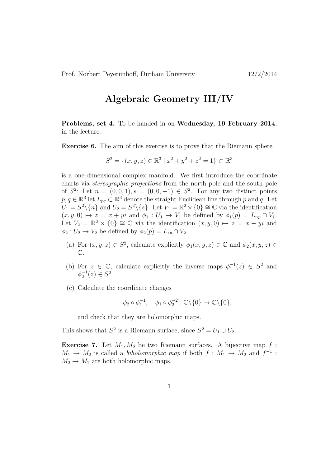## Algebraic Geometry III/IV

Problems, set 4. To be handed in on Wednesday, 19 February 2014, in the lecture.

Exercise 6. The aim of this exercise is to prove that the Riemann sphere

$$
S^2 = \{(x, y, z) \in \mathbb{R}^3 \mid x^2 + y^2 + z^2 = 1\} \subset \mathbb{R}^3
$$

is a one-dimensional complex manifold. We first introduce the coordinate charts via stereographic projections from the north pole and the south pole of  $S^2$ : Let  $n = (0, 0, 1), s = (0, 0, -1) \in S^2$ . For any two distinct points  $p, q \in \mathbb{R}^3$  let  $L_{pq} \subset \mathbb{R}^3$  denote the straight Euclidean line through p and q. Let  $U_1 = S^2 \setminus \{n\}$  and  $U_2 = S^2 \setminus \{s\}$ . Let  $V_1 = \mathbb{R}^2 \times \{0\} \cong \mathbb{C}$  via the identification  $(x, y, 0) \mapsto z = x + yi$  and  $\phi_1 : U_1 \to V_1$  be defined by  $\phi_1(p) = L_{np} \cap V_1$ . Let  $V_2 = \mathbb{R}^2 \times \{0\} \cong \mathbb{C}$  via the identification  $(x, y, 0) \mapsto z = x - yi$  and  $\phi_2: U_2 \to V_2$  be defined by  $\phi_2(p) = L_{sp} \cap V_2$ .

- (a) For  $(x, y, z) \in S^2$ , calculate explicitly  $\phi_1(x, y, z) \in \mathbb{C}$  and  $\phi_2(x, y, z) \in$  $\mathbb{C}$ .
- (b) For  $z \in \mathbb{C}$ , calculate explicitly the inverse maps  $\phi_1^{-1}(z) \in S^2$  and  $\phi_2^{-1}(z) \in S^2$ .
- (c) Calculate the coordinate changes

$$
\phi_2 \circ \phi_1^{-1}, \quad \phi_1 \circ \phi_2^{-2} : \mathbb{C} \backslash \{0\} \to \mathbb{C} \backslash \{0\},
$$

and check that they are holomorphic maps.

This shows that  $S^2$  is a Riemann surface, since  $S^2 = U_1 \cup U_2$ .

**Exercise 7.** Let  $M_1, M_2$  be two Riemann surfaces. A bijiective map  $f$ :  $M_1 \rightarrow M_2$  is called a *biholomorphic map* if both  $f : M_1 \rightarrow M_2$  and  $f^{-1}$ :  $M_2 \rightarrow M_1$  are both holomorphic maps.